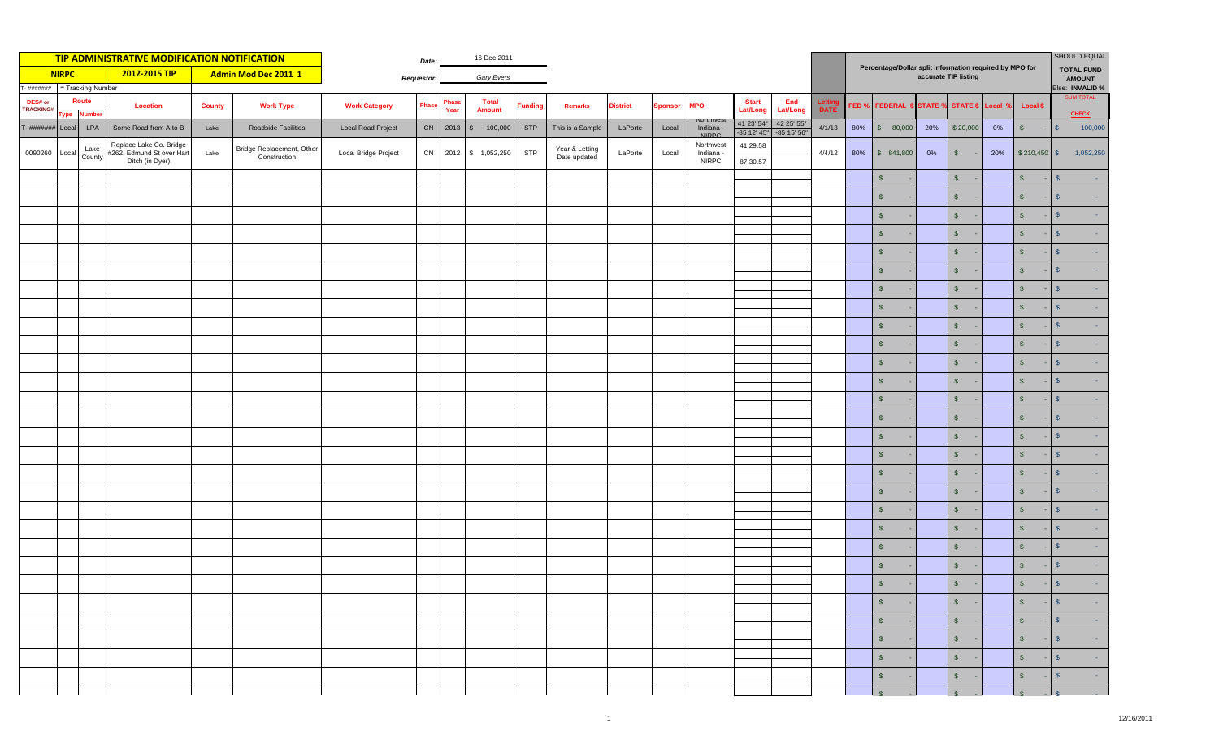| TIP ADMINISTRATIVE MODIFICATION NOTIFICATION |                                         |                |                                                                         |               |                                           |                           |              |               |                               |                |                                |                 | <b>SHOULD EQUAL</b><br><b>TOTAL FUND</b> |                                        |                           |                             |                                                                                 |                  |                           |     |                                |     |                 |                                     |
|----------------------------------------------|-----------------------------------------|----------------|-------------------------------------------------------------------------|---------------|-------------------------------------------|---------------------------|--------------|---------------|-------------------------------|----------------|--------------------------------|-----------------|------------------------------------------|----------------------------------------|---------------------------|-----------------------------|---------------------------------------------------------------------------------|------------------|---------------------------|-----|--------------------------------|-----|-----------------|-------------------------------------|
|                                              | <b>NIRPC</b>                            |                | 2012-2015 TIP                                                           |               | Admin Mod Dec 2011 1                      | <b>Requestor:</b>         | Gary Evers   |               |                               |                |                                |                 |                                          |                                        |                           |                             | Percentage/Dollar split information required by MPO for<br>accurate TIP listing |                  |                           |     |                                |     |                 |                                     |
|                                              | - #######<br>= Tracking Number<br>Route |                |                                                                         |               |                                           |                           |              |               |                               |                |                                |                 |                                          |                                        |                           |                             |                                                                                 |                  |                           |     |                                |     |                 | Else: INVALID %<br><b>SUM TOTAL</b> |
| DES# or<br>TRACKING#                         |                                         | ype Number     | <b>Location</b>                                                         | <b>County</b> | <b>Work Type</b>                          | <b>Work Category</b>      | <b>Phase</b> | Phase<br>Year | <b>Total</b><br><b>Amount</b> | <b>Funding</b> | <b>Remarks</b>                 | <b>District</b> | <b>Sponsor</b>                           | <b>MPO</b>                             | <b>Start</b><br>Lat/Long  | End<br><b>Lat/Long</b>      | <b>DATE</b>                                                                     | FED <sub>%</sub> | <b>FEDERAL \$ STATE %</b> |     | STATE \$ Local 9               |     | <b>Local \$</b> | <b>CHECK</b>                        |
| $T - \# \# \# \# \# \# \#$                   | Local                                   | LPA            | Some Road from A to B                                                   | Lake          | Roadside Facilities                       | <b>Local Road Project</b> |              | CN 2013       | 100,000<br>$\mathbb{S}$       | <b>STP</b>     | This is a Sample               | LaPorte         | Local                                    | Indiana<br><b>NIDDC</b>                | 41 23' 54"<br>-85 12' 45" | 42 25' 55"<br>$-85$ 15' 56" | 4/1/13                                                                          | 80%              | \$80,000                  | 20% | \$20,000                       | 0%  | $\sqrt{2}$      | 100,000<br>$$^{\circ}$              |
| 0090260                                      | Local                                   | Lake<br>County | Replace Lake Co. Bridge<br>#262, Edmund St over Hart<br>Ditch (in Dyer) | Lake          | Bridge Replacement, Other<br>Construction | Local Bridge Project      | CN           |               | 2012 \$ 1,052,250             | <b>STP</b>     | Year & Letting<br>Date updated | LaPorte         | Local                                    | Northwest<br>Indiana -<br><b>NIRPC</b> | 41.29.58<br>87.30.57      |                             | 4/4/12                                                                          | 80%              | \$841,800                 | 0%  | $\sqrt{3}$                     | 20% | $$210,450$ \$   | 1,052,250                           |
|                                              |                                         |                |                                                                         |               |                                           |                           |              |               |                               |                |                                |                 |                                          |                                        |                           |                             |                                                                                 |                  | $\sqrt{2}$                |     | $\sqrt{3}$                     |     | $\sqrt{2}$      | $\mathcal{S}$                       |
|                                              |                                         |                |                                                                         |               |                                           |                           |              |               |                               |                |                                |                 |                                          |                                        |                           |                             |                                                                                 |                  | $\sqrt[6]{\frac{1}{2}}$   |     | $\sqrt{2}$                     |     | $\sqrt{2}$      | S                                   |
|                                              |                                         |                |                                                                         |               |                                           |                           |              |               |                               |                |                                |                 |                                          |                                        |                           |                             |                                                                                 |                  | $\sqrt{2}$                |     | $\mathsf{\$}$                  |     | $\sqrt{5}$      | $\mathbf{s}$                        |
|                                              |                                         |                |                                                                         |               |                                           |                           |              |               |                               |                |                                |                 |                                          |                                        |                           |                             |                                                                                 |                  | $\mathsf{S}$              |     | $\sqrt{2}$                     |     | $\sqrt{2}$      | S                                   |
|                                              |                                         |                |                                                                         |               |                                           |                           |              |               |                               |                |                                |                 |                                          |                                        |                           |                             |                                                                                 |                  | $\mathsf{s}$              |     | $\sqrt{2}$                     |     | $$\mathbb{S}$$  | $\mathbb{S}$                        |
|                                              |                                         |                |                                                                         |               |                                           |                           |              |               |                               |                |                                |                 |                                          |                                        |                           |                             |                                                                                 |                  | $\mathsf{S}$              |     | $\sqrt{2}$                     |     | $\sqrt[6]{3}$   | $\mathbb{S}$                        |
|                                              |                                         |                |                                                                         |               |                                           |                           |              |               |                               |                |                                |                 |                                          |                                        |                           |                             |                                                                                 |                  | $\mathsf{s}$              |     | $\sqrt{2}$                     |     | $\mathsf{s}$    | $\mathbf{s}$                        |
|                                              |                                         |                |                                                                         |               |                                           |                           |              |               |                               |                |                                |                 |                                          |                                        |                           |                             |                                                                                 |                  | $\mathsf{\$}$             |     | $\mathsf{\$}$                  |     | $\mathsf{s}$    | $\mathbb{S}$                        |
|                                              |                                         |                |                                                                         |               |                                           |                           |              |               |                               |                |                                |                 |                                          |                                        |                           |                             |                                                                                 |                  | $\mathfrak{s}$            |     | $\mathsf{\$}$                  |     | $\mathsf{s}$    | $\mathbf{s}$                        |
|                                              |                                         |                |                                                                         |               |                                           |                           |              |               |                               |                |                                |                 |                                          |                                        |                           |                             |                                                                                 |                  | $\sqrt{2}$                |     | $\mathfrak{s}$                 |     | $\mathsf{s}$    | S                                   |
|                                              |                                         |                |                                                                         |               |                                           |                           |              |               |                               |                |                                |                 |                                          |                                        |                           |                             |                                                                                 |                  | $\mathsf{\$}$             |     | $\mathfrak{s}$                 |     | $\mathsf{s}$    | S                                   |
|                                              |                                         |                |                                                                         |               |                                           |                           |              |               |                               |                |                                |                 |                                          |                                        |                           |                             |                                                                                 |                  | $\sqrt{2}$                |     | $\sqrt{3}$                     |     | $\sqrt{5}$      | $\mathbf{s}$                        |
|                                              |                                         |                |                                                                         |               |                                           |                           |              |               |                               |                |                                |                 |                                          |                                        |                           |                             |                                                                                 |                  | $\sqrt{2}$                |     | $\sqrt{3}$                     |     | $\sqrt{2}$      | S                                   |
|                                              |                                         |                |                                                                         |               |                                           |                           |              |               |                               |                |                                |                 |                                          |                                        |                           |                             |                                                                                 |                  | $\sqrt{2}$                |     | $\sqrt{3}$                     |     | $\sqrt{3}$      | $\sqrt{5}$                          |
|                                              |                                         |                |                                                                         |               |                                           |                           |              |               |                               |                |                                |                 |                                          |                                        |                           |                             |                                                                                 |                  | $\sqrt{2}$                |     | $\sqrt{2}$                     |     | $\sqrt{2}$      | S                                   |
|                                              |                                         |                |                                                                         |               |                                           |                           |              |               |                               |                |                                |                 |                                          |                                        |                           |                             |                                                                                 |                  | $\mathsf{s}$              |     | $\sqrt{2}$                     |     | $\sqrt{3}$      | $\mathsf{S}$                        |
|                                              |                                         |                |                                                                         |               |                                           |                           |              |               |                               |                |                                |                 |                                          |                                        |                           |                             |                                                                                 |                  | $\sqrt{2}$                |     | $\sqrt{2}$                     |     | $\sqrt[6]{3}$   | $\mathbf{s}$                        |
|                                              |                                         |                |                                                                         |               |                                           |                           |              |               |                               |                |                                |                 |                                          |                                        |                           |                             |                                                                                 |                  | $\mathsf{s}$              |     | $\sqrt{2}$                     |     | $$\mathbb{S}$$  | S                                   |
|                                              |                                         |                |                                                                         |               |                                           |                           |              |               |                               |                |                                |                 |                                          |                                        |                           |                             |                                                                                 |                  | $\sqrt{2}$                |     | $\sqrt{3}$                     |     | $\sqrt{2}$      | $\mathbf{s}$                        |
|                                              |                                         |                |                                                                         |               |                                           |                           |              |               |                               |                |                                |                 |                                          |                                        |                           |                             |                                                                                 |                  | $\mathsf{s}$              |     | $\sqrt{2}$                     |     | $\sqrt{2}$      | $\mathbf{s}$                        |
|                                              |                                         |                |                                                                         |               |                                           |                           |              |               |                               |                |                                |                 |                                          |                                        |                           |                             |                                                                                 |                  | $\mathsf{\$}$             |     | $\mathsf{\$}$                  |     | $\mathsf{s}$    | $\mathbf{s}$                        |
|                                              |                                         |                |                                                                         |               |                                           |                           |              |               |                               |                |                                |                 |                                          |                                        |                           |                             |                                                                                 |                  | $\mathsf{S}$              |     | $\mathsf{\$}$                  |     | $\mathbf{s}$    | $\mathbf{s}$                        |
|                                              |                                         |                |                                                                         |               |                                           |                           |              |               |                               |                |                                |                 |                                          |                                        |                           |                             |                                                                                 |                  | $\sqrt{2}$                |     | $\mathsf{\$}$                  |     | $\sqrt{5}$      | $\mathbf{s}$                        |
|                                              |                                         |                |                                                                         |               |                                           |                           |              |               |                               |                |                                |                 |                                          |                                        |                           |                             |                                                                                 |                  | $\sqrt{5}$                |     | $S -$                          |     | $\sqrt{2}$      | $ \sqrt{ }$<br>$\sim 100$ km s      |
|                                              |                                         |                |                                                                         |               |                                           |                           |              |               |                               |                |                                |                 |                                          |                                        |                           |                             |                                                                                 |                  | $\vert \mathsf{s} \vert$  |     | $S -$                          |     | $S = S$         | $\sim 1000$                         |
|                                              |                                         |                |                                                                         |               |                                           |                           |              |               |                               |                |                                |                 |                                          |                                        |                           |                             |                                                                                 |                  | $\sqrt{S}$                |     | $S -$                          |     | $S - S$         | $\sim 10^{11}$ km s $^{-1}$         |
|                                              |                                         |                |                                                                         |               |                                           |                           |              |               |                               |                |                                |                 |                                          |                                        |                           |                             |                                                                                 |                  | $\mathsf{s}$              |     | $\int$                         |     | $s = s$         | $\sim 100$                          |
|                                              |                                         |                |                                                                         |               |                                           |                           |              |               |                               |                |                                |                 |                                          |                                        |                           |                             |                                                                                 |                  | S                         |     | 15<br>$\overline{\phantom{a}}$ |     | $S$ .           | $\sqrt{S}$<br>$\sim 10^{-1}$        |
|                                              |                                         |                |                                                                         |               |                                           |                           |              |               |                               |                |                                |                 |                                          |                                        |                           |                             |                                                                                 |                  | $\frac{1}{s}$             |     | $\sqrt{s}$                     |     | $s = s$         |                                     |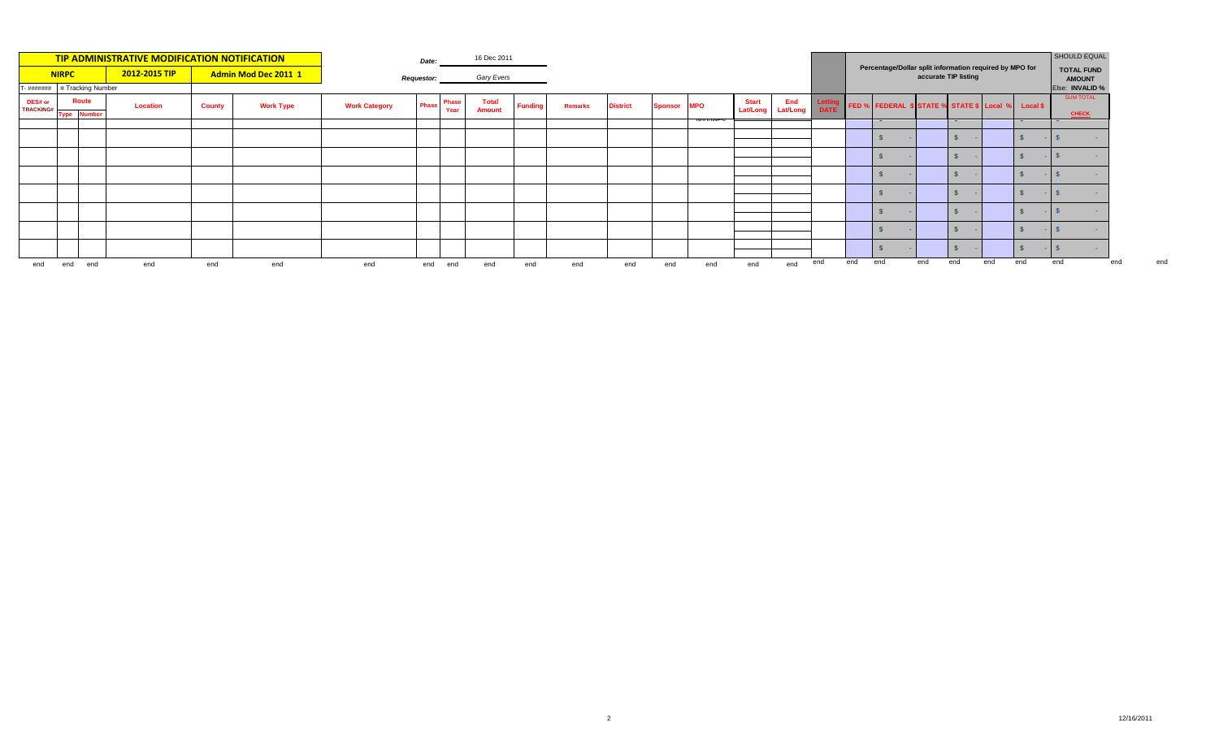| <b>TIP ADMINISTRATIVE MODIFICATION NOTIFICATION</b> |     |                                         |               |               |                             |                      | 16 Dec 2011 |               |                        |                |                |                 |         |            |                                   |     |                                                                                 | SHOULD EQUAL |                                                    |     |     |                                    |     |                                  |     |
|-----------------------------------------------------|-----|-----------------------------------------|---------------|---------------|-----------------------------|----------------------|-------------|---------------|------------------------|----------------|----------------|-----------------|---------|------------|-----------------------------------|-----|---------------------------------------------------------------------------------|--------------|----------------------------------------------------|-----|-----|------------------------------------|-----|----------------------------------|-----|
| <b>NIRPC</b>                                        |     |                                         | 2012-2015 TIP |               | <b>Admin Mod Dec 2011 1</b> | <b>Requestor:</b>    | Gary Evers  |               |                        |                |                |                 |         |            |                                   |     | Percentage/Dollar split information required by MPO for<br>accurate TIP listing |              |                                                    |     |     | <b>TOTAL FUND</b><br><b>AMOUNT</b> |     |                                  |     |
|                                                     |     | $T - \frac{\mu}{\mu}$ = Tracking Number |               |               |                             |                      |             |               |                        |                |                |                 |         |            |                                   |     |                                                                                 |              |                                                    |     |     |                                    |     | Else: INVALID %                  |     |
| DES# or<br><b>TRACKING#</b>                         |     | <b>Route</b><br><b>Type Number</b>      | Location      | <b>County</b> | <b>Work Type</b>            | <b>Work Category</b> | Phase       | Phase<br>Year | <b>Total</b><br>Amount | <b>Funding</b> | <b>Remarks</b> | <b>District</b> | Sponsor | <b>MPO</b> | <b>Start</b><br>Lat/Long Lat/Long | End | DATI                                                                            |              | FED % FEDERAL \$ STATE % STATE \$ Local % Local \$ |     |     |                                    |     | <b>SUM TOTAL</b><br><b>CHECK</b> |     |
|                                                     |     |                                         |               |               |                             |                      |             |               |                        |                |                |                 |         |            |                                   |     |                                                                                 |              | $\mathbf{\mathbf{v}}$                              |     |     |                                    |     |                                  |     |
|                                                     |     |                                         |               |               |                             |                      |             |               |                        |                |                |                 |         |            |                                   |     |                                                                                 |              |                                                    |     |     |                                    |     |                                  |     |
|                                                     |     |                                         |               |               |                             |                      |             |               |                        |                |                |                 |         |            |                                   |     |                                                                                 |              |                                                    |     |     |                                    |     |                                  |     |
|                                                     |     |                                         |               |               |                             |                      |             |               |                        |                |                |                 |         |            |                                   |     |                                                                                 |              |                                                    |     |     |                                    |     |                                  |     |
|                                                     |     |                                         |               |               |                             |                      |             |               |                        |                |                |                 |         |            |                                   |     |                                                                                 |              |                                                    |     |     |                                    |     |                                  |     |
|                                                     |     |                                         |               |               |                             |                      |             |               |                        |                |                |                 |         |            |                                   |     |                                                                                 |              |                                                    |     |     |                                    |     |                                  |     |
|                                                     |     |                                         |               |               |                             |                      |             |               |                        |                |                |                 |         |            |                                   |     |                                                                                 |              |                                                    |     |     |                                    |     |                                  |     |
|                                                     |     |                                         |               |               |                             |                      |             |               |                        |                |                |                 |         |            |                                   |     |                                                                                 |              |                                                    |     |     |                                    |     |                                  |     |
| end                                                 | end | end                                     | end           | end           | end                         | end                  |             | end end       | end                    | end            | end            | end             | end     | end        | end                               | end | end                                                                             | end          | end                                                | end | end | end                                | end | end                              | end |